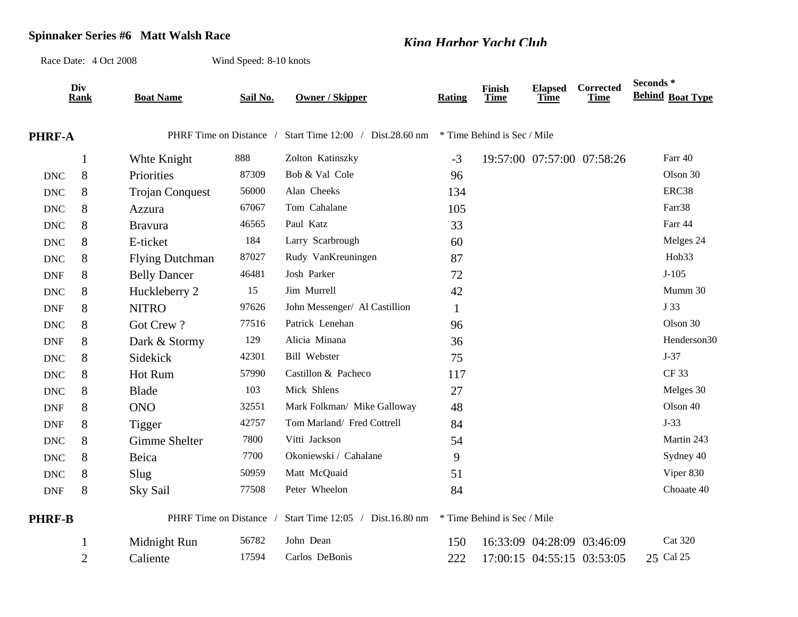## **Spinnaker Series #6 Matt Walsh Race** *King Harbor Yacht Club*

Race Date: 4 Oct 2008Wind Speed: 8-10 knots

|                      | Div<br><b>Rank</b> | <b>Boat Name</b>        | Sail No. | <b>Owner / Skipper</b>           | Rating | Finish<br>Time              | <b>Elapsed</b><br>Time | Corrected<br>Time          | Seconds*<br><b>Behind Boat Type</b> |
|----------------------|--------------------|-------------------------|----------|----------------------------------|--------|-----------------------------|------------------------|----------------------------|-------------------------------------|
| <b>PHRF-A</b>        |                    | PHRF Time on Distance / |          | Start Time 12:00 / Dist.28.60 nm |        | * Time Behind is Sec / Mile |                        |                            |                                     |
|                      | 1                  | Whte Knight             | 888      | Zolton Katinszky                 | $-3$   |                             |                        | 19:57:00 07:57:00 07:58:26 | Farr 40                             |
| $\operatorname{DNC}$ | 8                  | Priorities              | 87309    | Bob & Val Cole                   | 96     |                             |                        |                            | Olson 30                            |
| <b>DNC</b>           | 8                  | <b>Trojan Conquest</b>  | 56000    | Alan Cheeks                      | 134    |                             |                        |                            | ERC38                               |
| <b>DNC</b>           | 8                  | Azzura                  | 67067    | Tom Cahalane                     | 105    |                             |                        |                            | Farr38                              |
| <b>DNC</b>           | 8                  | <b>Bravura</b>          | 46565    | Paul Katz                        | 33     |                             |                        |                            | Farr 44                             |
| <b>DNC</b>           | 8                  | E-ticket                | 184      | Larry Scarbrough                 | 60     |                             |                        |                            | Melges 24                           |
| <b>DNC</b>           | 8                  | <b>Flying Dutchman</b>  | 87027    | Rudy VanKreuningen               | 87     |                             |                        |                            | Hob33                               |
| <b>DNF</b>           | 8                  | <b>Belly Dancer</b>     | 46481    | Josh Parker                      | 72     |                             |                        |                            | $J-105$                             |
| <b>DNC</b>           | 8                  | Huckleberry 2           | 15       | Jim Murrell                      | 42     |                             |                        |                            | Mumm 30                             |
| <b>DNF</b>           | 8                  | <b>NITRO</b>            | 97626    | John Messenger/ Al Castillion    | 1      |                             |                        |                            | J 33                                |
| <b>DNC</b>           | 8                  | Got Crew?               | 77516    | Patrick Lenehan                  | 96     |                             |                        |                            | Olson 30                            |
| <b>DNF</b>           | 8                  | Dark & Stormy           | 129      | Alicia Minana                    | 36     |                             |                        |                            | Henderson30                         |
| <b>DNC</b>           | 8                  | Sidekick                | 42301    | <b>Bill Webster</b>              | 75     |                             |                        |                            | $J-37$                              |
| <b>DNC</b>           | 8                  | Hot Rum                 | 57990    | Castillon & Pacheco              | 117    |                             |                        |                            | <b>CF33</b>                         |
| <b>DNC</b>           | 8                  | Blade                   | 103      | Mick Shlens                      | 27     |                             |                        |                            | Melges 30                           |
| <b>DNF</b>           | 8                  | <b>ONO</b>              | 32551    | Mark Folkman/ Mike Galloway      | 48     |                             |                        |                            | Olson 40                            |
| <b>DNF</b>           | 8                  | <b>Tigger</b>           | 42757    | Tom Marland/ Fred Cottrell       | 84     |                             |                        |                            | $J-33$                              |
| <b>DNC</b>           | 8                  | Gimme Shelter           | 7800     | Vitti Jackson                    | 54     |                             |                        |                            | Martin 243                          |
| <b>DNC</b>           | 8                  | Beica                   | 7700     | Okoniewski / Cahalane            | 9      |                             |                        |                            | Sydney 40                           |
| <b>DNC</b>           | 8                  | Slug                    | 50959    | Matt McQuaid                     | 51     |                             |                        |                            | Viper 830                           |
| <b>DNF</b>           | 8                  | Sky Sail                | 77508    | Peter Wheelon                    | 84     |                             |                        |                            | Choaate 40                          |
| <b>PHRF-B</b>        |                    | PHRF Time on Distance / |          | Start Time 12:05 / Dist.16.80 nm |        | * Time Behind is Sec / Mile |                        |                            |                                     |
|                      |                    | Midnight Run            | 56782    | John Dean                        | 150    |                             |                        | 16:33:09 04:28:09 03:46:09 | <b>Cat 320</b>                      |
|                      | $\overline{2}$     | Caliente                | 17594    | Carlos DeBonis                   | 222    |                             |                        | 17:00:15 04:55:15 03:53:05 | 25 Cal 25                           |